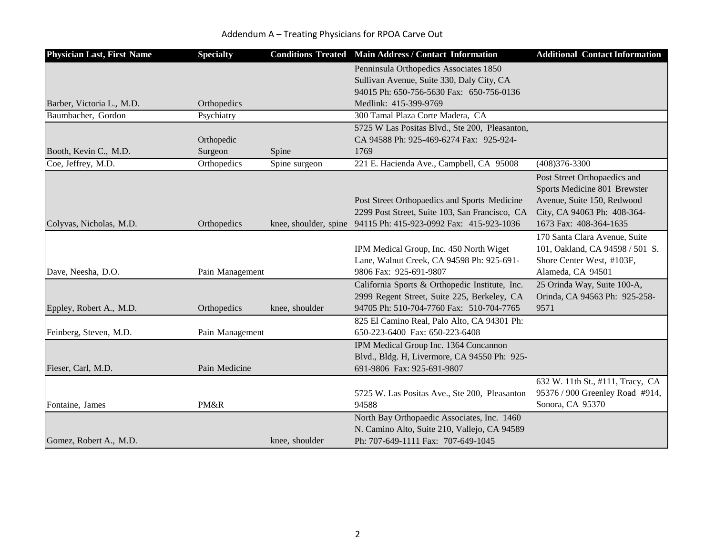|  | Addendum A - Treating Physicians for RPOA Carve Out |
|--|-----------------------------------------------------|
|--|-----------------------------------------------------|

| <b>Physician Last, First Name</b> | <b>Specialty</b>      |                | <b>Conditions Treated Main Address / Contact Information</b>                                                                                                     | <b>Additional Contact Information</b>                                                                                                               |
|-----------------------------------|-----------------------|----------------|------------------------------------------------------------------------------------------------------------------------------------------------------------------|-----------------------------------------------------------------------------------------------------------------------------------------------------|
| Barber, Victoria L., M.D.         | Orthopedics           |                | Penninsula Orthopedics Associates 1850<br>Sullivan Avenue, Suite 330, Daly City, CA<br>94015 Ph: 650-756-5630 Fax: 650-756-0136<br>Medlink: 415-399-9769         |                                                                                                                                                     |
| Baumbacher, Gordon                | Psychiatry            |                | 300 Tamal Plaza Corte Madera, CA                                                                                                                                 |                                                                                                                                                     |
| Booth, Kevin C., M.D.             | Orthopedic<br>Surgeon | Spine          | 5725 W Las Positas Blvd., Ste 200, Pleasanton,<br>CA 94588 Ph: 925-469-6274 Fax: 925-924-<br>1769                                                                |                                                                                                                                                     |
| Coe, Jeffrey, M.D.                | Orthopedics           | Spine surgeon  | 221 E. Hacienda Ave., Campbell, CA 95008                                                                                                                         | $(408)376 - 3300$                                                                                                                                   |
| Colyvas, Nicholas, M.D.           | Orthopedics           |                | Post Street Orthopaedics and Sports Medicine<br>2299 Post Street, Suite 103, San Francisco, CA<br>knee, shoulder, spine 94115 Ph: 415-923-0992 Fax: 415-923-1036 | Post Street Orthopaedics and<br>Sports Medicine 801 Brewster<br>Avenue, Suite 150, Redwood<br>City, CA 94063 Ph: 408-364-<br>1673 Fax: 408-364-1635 |
| Dave, Neesha, D.O.                | Pain Management       |                | IPM Medical Group, Inc. 450 North Wiget<br>Lane, Walnut Creek, CA 94598 Ph: 925-691-<br>9806 Fax: 925-691-9807                                                   | 170 Santa Clara Avenue, Suite<br>101, Oakland, CA 94598 / 501 S.<br>Shore Center West, #103F,<br>Alameda, CA 94501                                  |
| Eppley, Robert A., M.D.           | Orthopedics           | knee, shoulder | California Sports & Orthopedic Institute, Inc.<br>2999 Regent Street, Suite 225, Berkeley, CA<br>94705 Ph: 510-704-7760 Fax: 510-704-7765                        | 25 Orinda Way, Suite 100-A,<br>Orinda, CA 94563 Ph: 925-258-<br>9571                                                                                |
| Feinberg, Steven, M.D.            | Pain Management       |                | 825 El Camino Real, Palo Alto, CA 94301 Ph:<br>650-223-6400 Fax: 650-223-6408                                                                                    |                                                                                                                                                     |
| Fieser, Carl, M.D.                | Pain Medicine         |                | IPM Medical Group Inc. 1364 Concannon<br>Blvd., Bldg. H, Livermore, CA 94550 Ph: 925-<br>691-9806 Fax: 925-691-9807                                              |                                                                                                                                                     |
| Fontaine, James                   | PM&R                  |                | 5725 W. Las Positas Ave., Ste 200, Pleasanton<br>94588                                                                                                           | 632 W. 11th St., #111, Tracy, CA<br>95376 / 900 Greenley Road #914,<br>Sonora, CA 95370                                                             |
| Gomez, Robert A., M.D.            |                       | knee, shoulder | North Bay Orthopaedic Associates, Inc. 1460<br>N. Camino Alto, Suite 210, Vallejo, CA 94589<br>Ph: 707-649-1111 Fax: 707-649-1045                                |                                                                                                                                                     |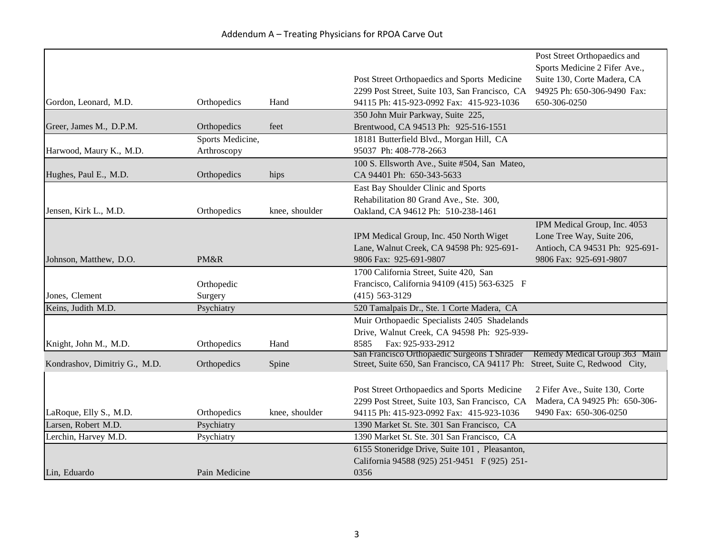Addendum A – Treating Physicians for RPOA Carve Out

| Gordon, Leonard, M.D.         | Orthopedics                     | Hand           | Post Street Orthopaedics and Sports Medicine<br>2299 Post Street, Suite 103, San Francisco, CA<br>94115 Ph: 415-923-0992 Fax: 415-923-1036 | Post Street Orthopaedics and<br>Sports Medicine 2 Fifer Ave.,<br>Suite 130, Corte Madera, CA<br>94925 Ph: 650-306-9490 Fax:<br>650-306-0250 |
|-------------------------------|---------------------------------|----------------|--------------------------------------------------------------------------------------------------------------------------------------------|---------------------------------------------------------------------------------------------------------------------------------------------|
|                               |                                 |                | 350 John Muir Parkway, Suite 225,                                                                                                          |                                                                                                                                             |
| Greer, James M., D.P.M.       | Orthopedics                     | feet           | Brentwood, CA 94513 Ph: 925-516-1551                                                                                                       |                                                                                                                                             |
| Harwood, Maury K., M.D.       | Sports Medicine,<br>Arthroscopy |                | 18181 Butterfield Blvd., Morgan Hill, CA<br>95037 Ph: 408-778-2663                                                                         |                                                                                                                                             |
| Hughes, Paul E., M.D.         | Orthopedics                     | hips           | 100 S. Ellsworth Ave., Suite #504, San Mateo,<br>CA 94401 Ph: 650-343-5633                                                                 |                                                                                                                                             |
| Jensen, Kirk L., M.D.         | Orthopedics                     | knee, shoulder | East Bay Shoulder Clinic and Sports<br>Rehabilitation 80 Grand Ave., Ste. 300,<br>Oakland, CA 94612 Ph: 510-238-1461                       |                                                                                                                                             |
| Johnson, Matthew, D.O.        | PM&R                            |                | IPM Medical Group, Inc. 450 North Wiget<br>Lane, Walnut Creek, CA 94598 Ph: 925-691-<br>9806 Fax: 925-691-9807                             | IPM Medical Group, Inc. 4053<br>Lone Tree Way, Suite 206,<br>Antioch, CA 94531 Ph: 925-691-<br>9806 Fax: 925-691-9807                       |
| Jones, Clement                | Orthopedic<br>Surgery           |                | 1700 California Street, Suite 420, San<br>Francisco, California 94109 (415) 563-6325 F<br>$(415) 563 - 3129$                               |                                                                                                                                             |
| Keins, Judith M.D.            | Psychiatry                      |                | 520 Tamalpais Dr., Ste. 1 Corte Madera, CA                                                                                                 |                                                                                                                                             |
| Knight, John M., M.D.         | Orthopedics                     | Hand           | Muir Orthopaedic Specialists 2405 Shadelands<br>Drive, Walnut Creek, CA 94598 Ph: 925-939-<br>Fax: 925-933-2912<br>8585                    |                                                                                                                                             |
| Kondrashov, Dimitriy G., M.D. | Orthopedics                     | Spine          | San Francisco Orthopaedic Surgeons 1 Shrader<br>Street, Suite 650, San Francisco, CA 94117 Ph: Street, Suite C, Redwood City,              | Remedy Medical Group 363 Main                                                                                                               |
| LaRoque, Elly S., M.D.        | Orthopedics                     | knee, shoulder | Post Street Orthopaedics and Sports Medicine<br>2299 Post Street, Suite 103, San Francisco, CA<br>94115 Ph: 415-923-0992 Fax: 415-923-1036 | 2 Fifer Ave., Suite 130, Corte<br>Madera, CA 94925 Ph: 650-306-<br>9490 Fax: 650-306-0250                                                   |
| Larsen, Robert M.D.           | Psychiatry                      |                | 1390 Market St. Ste. 301 San Francisco, CA                                                                                                 |                                                                                                                                             |
| Lerchin, Harvey M.D.          | Psychiatry                      |                | 1390 Market St. Ste. 301 San Francisco, CA                                                                                                 |                                                                                                                                             |
| Lin, Eduardo                  | Pain Medicine                   |                | 6155 Stoneridge Drive, Suite 101, Pleasanton,<br>California 94588 (925) 251-9451 F (925) 251-<br>0356                                      |                                                                                                                                             |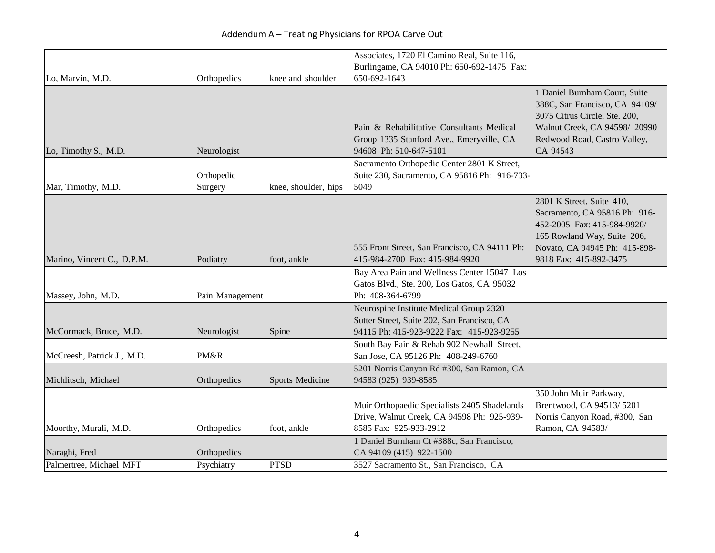|                            |                 |                      | Associates, 1720 El Camino Real, Suite 116,<br>Burlingame, CA 94010 Ph: 650-692-1475 Fax:                                          |                                                                                                                                                                                     |
|----------------------------|-----------------|----------------------|------------------------------------------------------------------------------------------------------------------------------------|-------------------------------------------------------------------------------------------------------------------------------------------------------------------------------------|
| Lo, Marvin, M.D.           | Orthopedics     | knee and shoulder    | 650-692-1643                                                                                                                       |                                                                                                                                                                                     |
| Lo, Timothy S., M.D.       | Neurologist     |                      | Pain & Rehabilitative Consultants Medical<br>Group 1335 Stanford Ave., Emeryville, CA<br>94608 Ph: 510-647-5101                    | 1 Daniel Burnham Court, Suite<br>388C, San Francisco, CA 94109/<br>3075 Citrus Circle, Ste. 200,<br>Walnut Creek, CA 94598/ 20990<br>Redwood Road, Castro Valley,<br>CA 94543       |
|                            |                 |                      | Sacramento Orthopedic Center 2801 K Street,                                                                                        |                                                                                                                                                                                     |
|                            | Orthopedic      |                      | Suite 230, Sacramento, CA 95816 Ph: 916-733-                                                                                       |                                                                                                                                                                                     |
| Mar, Timothy, M.D.         | Surgery         | knee, shoulder, hips | 5049                                                                                                                               |                                                                                                                                                                                     |
| Marino, Vincent C., D.P.M. | Podiatry        | foot, ankle          | 555 Front Street, San Francisco, CA 94111 Ph:<br>415-984-2700 Fax: 415-984-9920                                                    | 2801 K Street, Suite 410,<br>Sacramento, CA 95816 Ph: 916-<br>452-2005 Fax: 415-984-9920/<br>165 Rowland Way, Suite 206,<br>Novato, CA 94945 Ph: 415-898-<br>9818 Fax: 415-892-3475 |
|                            |                 |                      | Bay Area Pain and Wellness Center 15047 Los                                                                                        |                                                                                                                                                                                     |
|                            |                 |                      | Gatos Blvd., Ste. 200, Los Gatos, CA 95032                                                                                         |                                                                                                                                                                                     |
| Massey, John, M.D.         | Pain Management |                      | Ph: 408-364-6799                                                                                                                   |                                                                                                                                                                                     |
| McCormack, Bruce, M.D.     | Neurologist     | Spine                | Neurospine Institute Medical Group 2320<br>Sutter Street, Suite 202, San Francisco, CA<br>94115 Ph: 415-923-9222 Fax: 415-923-9255 |                                                                                                                                                                                     |
|                            |                 |                      | South Bay Pain & Rehab 902 Newhall Street,                                                                                         |                                                                                                                                                                                     |
| McCreesh, Patrick J., M.D. | PM&R            |                      | San Jose, CA 95126 Ph: 408-249-6760                                                                                                |                                                                                                                                                                                     |
| Michlitsch, Michael        | Orthopedics     | Sports Medicine      | 5201 Norris Canyon Rd #300, San Ramon, CA<br>94583 (925) 939-8585                                                                  |                                                                                                                                                                                     |
| Moorthy, Murali, M.D.      | Orthopedics     | foot, ankle          | Muir Orthopaedic Specialists 2405 Shadelands<br>Drive, Walnut Creek, CA 94598 Ph: 925-939-<br>8585 Fax: 925-933-2912               | 350 John Muir Parkway,<br>Brentwood, CA 94513/5201<br>Norris Canyon Road, #300, San<br>Ramon, CA 94583/                                                                             |
|                            |                 |                      | 1 Daniel Burnham Ct #388c, San Francisco,                                                                                          |                                                                                                                                                                                     |
| Naraghi, Fred              | Orthopedics     |                      | CA 94109 (415) 922-1500                                                                                                            |                                                                                                                                                                                     |
| Palmertree, Michael MFT    | Psychiatry      | <b>PTSD</b>          | 3527 Sacramento St., San Francisco, CA                                                                                             |                                                                                                                                                                                     |

## Addendum A – Treating Physicians for RPOA Carve Out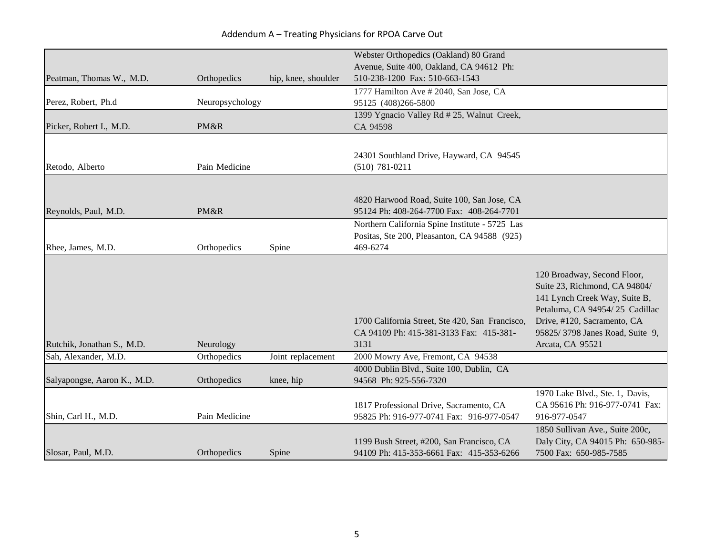|                             |                 |                     | Webster Orthopedics (Oakland) 80 Grand                                              |                                                                     |
|-----------------------------|-----------------|---------------------|-------------------------------------------------------------------------------------|---------------------------------------------------------------------|
|                             |                 |                     | Avenue, Suite 400, Oakland, CA 94612 Ph:                                            |                                                                     |
| Peatman, Thomas W., M.D.    | Orthopedics     | hip, knee, shoulder | 510-238-1200 Fax: 510-663-1543                                                      |                                                                     |
|                             |                 |                     | 1777 Hamilton Ave # 2040, San Jose, CA                                              |                                                                     |
| Perez, Robert, Ph.d         | Neuropsychology |                     | 95125 (408)266-5800                                                                 |                                                                     |
|                             |                 |                     | 1399 Ygnacio Valley Rd # 25, Walnut Creek,                                          |                                                                     |
| Picker, Robert I., M.D.     | PM&R            |                     | CA 94598                                                                            |                                                                     |
|                             |                 |                     |                                                                                     |                                                                     |
|                             |                 |                     | 24301 Southland Drive, Hayward, CA 94545                                            |                                                                     |
| Retodo, Alberto             | Pain Medicine   |                     | $(510) 781 - 0211$                                                                  |                                                                     |
|                             |                 |                     |                                                                                     |                                                                     |
|                             |                 |                     | 4820 Harwood Road, Suite 100, San Jose, CA                                          |                                                                     |
| Reynolds, Paul, M.D.        | PM&R            |                     | 95124 Ph: 408-264-7700 Fax: 408-264-7701                                            |                                                                     |
|                             |                 |                     | Northern California Spine Institute - 5725 Las                                      |                                                                     |
|                             |                 |                     | Positas, Ste 200, Pleasanton, CA 94588 (925)                                        |                                                                     |
| Rhee, James, M.D.           | Orthopedics     | Spine               | 469-6274                                                                            |                                                                     |
|                             |                 |                     |                                                                                     |                                                                     |
|                             |                 |                     |                                                                                     | 120 Broadway, Second Floor,                                         |
|                             |                 |                     |                                                                                     | Suite 23, Richmond, CA 94804/                                       |
|                             |                 |                     |                                                                                     | 141 Lynch Creek Way, Suite B,                                       |
|                             |                 |                     |                                                                                     | Petaluma, CA 94954/25 Cadillac                                      |
|                             |                 |                     | 1700 California Street, Ste 420, San Francisco,                                     | Drive, #120, Sacramento, CA                                         |
|                             |                 |                     | CA 94109 Ph: 415-381-3133 Fax: 415-381-                                             | 95825/3798 Janes Road, Suite 9,                                     |
| Rutchik, Jonathan S., M.D.  | Neurology       |                     | 3131                                                                                | Arcata, CA 95521                                                    |
| Sah, Alexander, M.D.        | Orthopedics     | Joint replacement   | 2000 Mowry Ave, Fremont, CA 94538                                                   |                                                                     |
|                             |                 |                     | 4000 Dublin Blvd., Suite 100, Dublin, CA                                            |                                                                     |
| Salyapongse, Aaron K., M.D. | Orthopedics     | knee, hip           | 94568 Ph: 925-556-7320                                                              |                                                                     |
|                             |                 |                     |                                                                                     | 1970 Lake Blvd., Ste. 1, Davis,                                     |
| Shin, Carl H., M.D.         | Pain Medicine   |                     | 1817 Professional Drive, Sacramento, CA<br>95825 Ph: 916-977-0741 Fax: 916-977-0547 | CA 95616 Ph: 916-977-0741 Fax:<br>916-977-0547                      |
|                             |                 |                     |                                                                                     |                                                                     |
|                             |                 |                     | 1199 Bush Street, #200, San Francisco, CA                                           | 1850 Sullivan Ave., Suite 200c,<br>Daly City, CA 94015 Ph: 650-985- |
| Slosar, Paul, M.D.          | Orthopedics     | Spine               | 94109 Ph: 415-353-6661 Fax: 415-353-6266                                            | 7500 Fax: 650-985-7585                                              |
|                             |                 |                     |                                                                                     |                                                                     |

## Addendum A – Treating Physicians for RPOA Carve Out